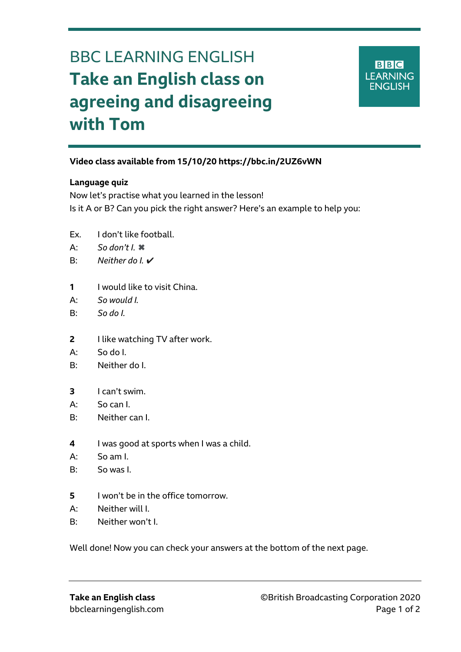# BBC LEARNING ENGLISH **Take an English class on agreeing and disagreeing with Tom**



## **Video class available from 15/10/20 https://bbc.in/2UZ6vWN**

#### **Language quiz**

Ξ

Now let's practise what you learned in the lesson! Is it A or B? Can you pick the right answer? Here's an example to help you:

- Ex. I don't like football.
- A: *So don't I.* ✖
- B: Neither do I **V**
- **1** I would like to visit China.
- A: *So would I.*
- B: *So do I.*
- **2** I like watching TV after work.
- A: So do I.
- B: Neither do I.
- **3** I can't swim.
- A: So can I.
- B: Neither can I.
- **4** I was good at sports when I was a child.
- A: So am I.
- B: So was I.
- **5** I won't be in the office tomorrow.
- A: Neither will I.
- B: Neither won't I.

Well done! Now you can check your answers at the bottom of the next page.